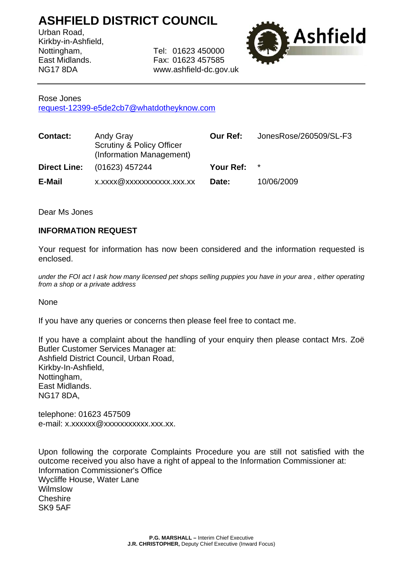## **ASHFIELD DISTRICT COUNCIL**

Urban Road, Kirkby-in-Ashfield,

Nottingham, Tel: 01623 450000 East Midlands. Fax: 01623 457585 NG17 8DA www.ashfield-dc.gov.uk



## Rose Jones

[request-12399-e5de2cb7@whatdotheyknow.com](mailto:xxxxxxxxxxxxxxxxxxxxxx@xxxxxxxxxxxxxx.xxx)

| <b>Contact:</b>     | Andy Gray<br><b>Scrutiny &amp; Policy Officer</b><br>(Information Management) | <b>Our Ref:</b> | JonesRose/260509/SL-F3 |
|---------------------|-------------------------------------------------------------------------------|-----------------|------------------------|
| <b>Direct Line:</b> | (01623) 457244                                                                | Your Ref:       | $\star$                |
| E-Mail              | x.xxxx@xxxxxxxxxxx.xxx.xx                                                     | Date:           | 10/06/2009             |

Dear Ms Jones

## **INFORMATION REQUEST**

Your request for information has now been considered and the information requested is enclosed.

*under the FOI act I ask how many licensed pet shops selling puppies you have in your area , either operating from a shop or a private address* 

**None** 

If you have any queries or concerns then please feel free to contact me.

If you have a complaint about the handling of your enquiry then please contact Mrs. Zoë Butler Customer Services Manager at: Ashfield District Council, Urban Road, Kirkby-In-Ashfield, Nottingham, East Midlands. NG17 8DA,

telephone: 01623 457509 e-mail: x.xxxxxx@xxxxxxxxxxxx.xxx.xx.

Upon following the corporate Complaints Procedure you are still not satisfied with the outcome received you also have a right of appeal to the Information Commissioner at: Information Commissioner's Office Wycliffe House, Water Lane Wilmslow Cheshire SK9 5AF